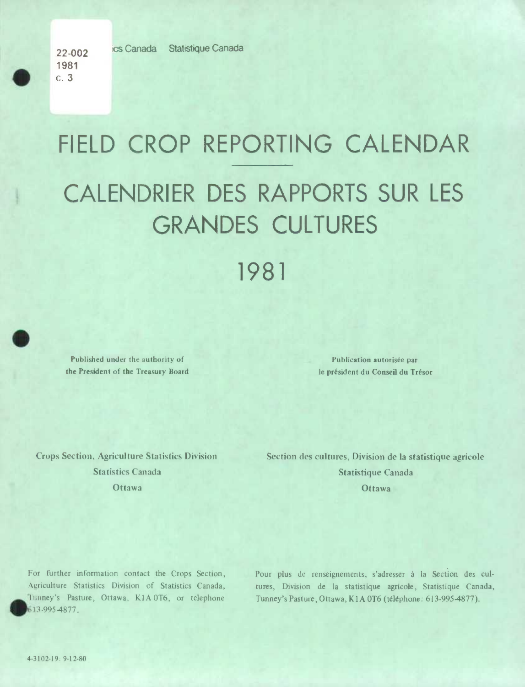22-002 ics Canada Statistique Canada

1981  $\begin{array}{c} 1981 \\ 0.3 \end{array}$ 

## FIELD CROP REPORTING CALENDAR CALENDRIER DES RAPPORTS SUR LES GRANDES CULTURES 1981

Published under the authority of **Publication autorisée par** the President of the Treasury Board Ice président du Conseil du Trésor

Crops Section, Agriculture Statistics Division Section des cultures, Division de la statistique agricole Statistics Canada **Statistique Canada** Statistique Canada Ottawa **Ottawa** Ottawa 2014

For further information contact the Crops Section, Agriculture Statistics Division of Statistics Canada, Tunney's Pasture, Ottawa, K1A 0T6, or telephone • 3-9954877.

Pour plus de renseignements, s'adresser à la Section des cultures, Division de la statistique agricole, Statistique Canada, Tunney's Pasture, Ottawa, KIA 0T6 (téléphone: *613-995-4877).* 

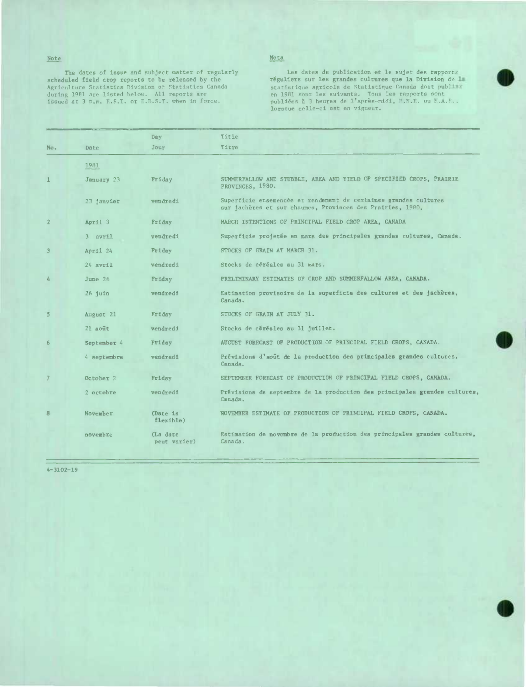Note

scheduled field crop reports to be released by the réguliers sur lea grandes cultures que Is Division de Agriculture Statistics Division of Statistics Canada statistique agricole de Statistique Canada doit publim ing during are listed and source material of the Agriculture Statistics Nivision of Statistics Canada during 1981 are listed below. All reports are issued at 3 p.m. F.S.T. or E.D.S.T. when in force.

## Nota

The dates of issue and subject matter of regularly **Leau and Lead ates de publication et le sujet des ra**pports issued at 3 p.m. F.S.T. or F.D.S.T. when in force. publies à 3 heures de l'après-nidi, H.N.E. ou H.A.F..<br>lorsque celle-ci est en vigueur.

|                |              | Day                       | Title                                                                                                                          |
|----------------|--------------|---------------------------|--------------------------------------------------------------------------------------------------------------------------------|
| No.            | Date         | Jour                      | Titre                                                                                                                          |
|                | 1981         |                           |                                                                                                                                |
|                | January 23   | Friday                    | SUMMERFALLOW AND STUBBLE, AREA AND YIELD OF SPECIFIED CROPS, PRAIRIE<br>PROVINCES, 1980.                                       |
|                | 23 janvier   | vendredi                  | Superficie ensemencée et rendement de certaines grandes cultures<br>sur jachères et sur chaumes, Provinces des Prairies, 1980. |
| $\overline{2}$ | April 3      | Friday                    | MARCH INTENTIONS OF PRINCIPAL FIELD CROP AREA, CANADA                                                                          |
|                | $3$ $avr11$  | vendredi                  | Superficie projetée en mars des principales grandes cultures, Canada.                                                          |
| 3              | April 24     | <b>Friday</b>             | STOCKS OF GRAIN AT MARCH 31.                                                                                                   |
|                | $24$ $avr11$ | vendredi                  | Stocks de céréales au 31 mars.                                                                                                 |
| å.             | June 26      | Friday                    | PRELIMINARY ESTIMATES OF CROP AND SUMMERFALLOW AREA, CANADA.                                                                   |
|                | $26$ juin    | vendredi                  | Estimation provisoire de la superficie des cultures et des jachères,<br>Canada.                                                |
| 5              | August 21    | Friday                    | STOCKS OF GRAIN AT JULY 31.                                                                                                    |
|                | $21$ août    | vendredi                  | Stocks de cérésles au 31 juillet.                                                                                              |
| 6              | September 4  | Friday                    | AUGUST FORECAST OF PRODUCTION OF PRINCIPAL FIELD CROPS, CANADA.                                                                |
|                | 4 septembre  | vendred1                  | Prévisions d'août de la production des principales grandes cultures,<br>Canada.                                                |
| $\overline{7}$ | October 2    | Fridsy                    | SEPTEMBER FORECAST OF PRODUCTION OF PRINCIPAL FIELD CROPS, CANADA.                                                             |
|                | 2 octobre    | vendredi                  | Prévisions de septembre de la production des principales grandes cultures,<br>Canada.                                          |
| 8              | November     | (Dste is<br>flexible)     | NOVEMBER ESTIMATE OF PRODUCTION OF PRINCIPAL FIELD CROPS, CANADA.                                                              |
|                | novembre     | (La date)<br>peut varier) | Estimation de novembre de la production des principales grandes cultures,<br>Canada.                                           |

4-3102-19

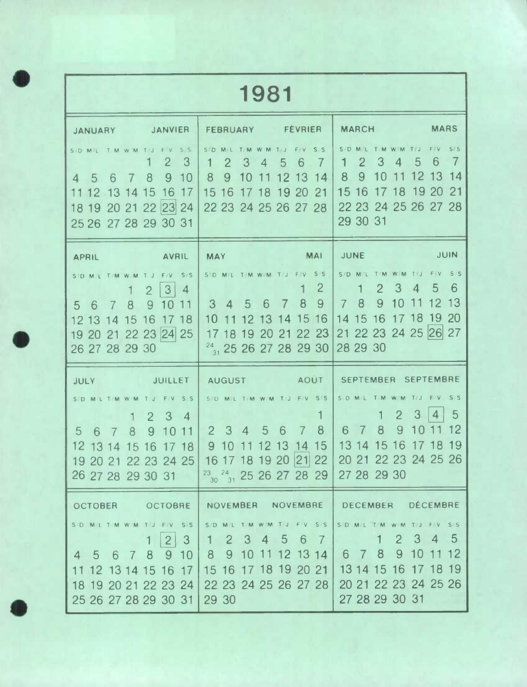|                                                           |                                                                                                                                       | 1981                                                                                                                                                                             |                                                                |                                                                                                                                                     |                                                            |  |  |  |  |  |
|-----------------------------------------------------------|---------------------------------------------------------------------------------------------------------------------------------------|----------------------------------------------------------------------------------------------------------------------------------------------------------------------------------|----------------------------------------------------------------|-----------------------------------------------------------------------------------------------------------------------------------------------------|------------------------------------------------------------|--|--|--|--|--|
| <b>JANUARY</b>                                            | <b>JANVIER</b>                                                                                                                        | <b>FEBRUARY</b>                                                                                                                                                                  | <b>FEVRIER</b>                                                 | <b>MARCH</b>                                                                                                                                        | <b>MARS</b>                                                |  |  |  |  |  |
| $S/D$ M.L.<br>-5<br>6<br>$\overline{4}$<br>11 12 13 14 15 | T/M W/M<br>$\overline{2}$<br>3<br>9<br>10<br>8<br>16 17<br>18 19 20 21 22 23 24<br>25 26 27 28 29 30 31                               | S D<br><b>W/M</b><br>$\overline{2}$<br>3<br>4<br>9<br>8<br>10<br>11<br>15 16<br>17 18<br>22 23 24 25 26 27 28                                                                    | S/S<br>6<br>$\mathcal{T}$<br>5<br>1213<br>14<br>19 20<br>21    | S/D M<br>2<br>3<br>4<br>9<br>8<br>10<br>15 16<br>17 18<br>22 23 24 25 26 27 28<br>29 30 31                                                          | 6<br>5<br> 13<br>12<br> 14<br>19<br>21<br>-20              |  |  |  |  |  |
| <b>APRIL</b>                                              | <b>AVRIL</b>                                                                                                                          | <b>MAY</b>                                                                                                                                                                       | <b>MAI</b>                                                     | JUNE                                                                                                                                                | <b>JUIN</b>                                                |  |  |  |  |  |
| T/M W/M<br>S/D M/L<br>5<br>12 13 14 15<br>26 27 28 29 30  | S/S<br>F/V<br>3<br>$\overline{4}$<br>$\overline{2}$<br>8<br>9<br>10<br>11<br>16<br>17 18<br>19 20 21 22 23 24 25                      | S D M L T/M W M<br>6<br>$\mathbf{3}$<br>$4\overline{5}$<br>10<br>$\frac{24}{31}$ 25 26 27 28 29 30                                                                               | S/S<br>$\overline{2}$<br>8<br>9 <sup>°</sup><br>12 13 14 15 16 | $S/D$ $M/L$<br>T/M W-M<br>2<br>3<br>8<br>9<br>10<br>$7\phantom{.}$<br>14 15 16 17 18 19 20<br>17 18 19 20 21 22 23 21 22 23 24 25 26 27<br>28 29 30 | S'S<br>6<br>5<br>$\overline{4}$<br>13<br>12                |  |  |  |  |  |
| <b>JULY</b>                                               | <b>JUILLET</b>                                                                                                                        | <b>AUGUST</b>                                                                                                                                                                    | AOUT                                                           | <b>SEPTEMBRE</b><br><b>SEPTEMBER</b>                                                                                                                |                                                            |  |  |  |  |  |
| S/D M/L T/M W/M<br>5<br>6<br>$\overline{7}$               | $F/V$ S/S<br>3<br>$\overline{2}$<br>$\overline{4}$<br>8<br>9<br>1011<br>16<br>1718<br>15<br>19 20 21 22 23 24 25<br>26 27 28 29 30 31 | SD ML TIM W/M T/J F/V S/S<br>$2^{\circ}$<br>$3\quad 4$<br>-5<br>910<br>$\vert$ 11<br>16 17 18 19 20 21 22 20 21 22 23 24 25 26<br>$\frac{23}{30}$ $\frac{24}{31}$ 25 26 27 28 29 | 8<br>6<br>7<br>14, 15<br>1213                                  | S D M/L<br>TM WM<br>$\overline{2}$<br>8<br>9<br>6<br>13 14 15 16<br>27 28 29 30                                                                     | 3<br>5<br>4<br>19<br>-18                                   |  |  |  |  |  |
| <b>OCTOBER</b>                                            | <b>OCTOBRE</b>                                                                                                                        | NOVEMBER NOVEMBRE                                                                                                                                                                |                                                                | <b>DECEMBER</b>                                                                                                                                     | <b>DÉCEMBRE</b>                                            |  |  |  |  |  |
| $4\quad 5$                                                | S/D M/L T/M W/M T/U F/V S/S<br>$\mathbf{3}$<br>$\overline{2}$<br>6 7 8 9 10<br>11 12 13 14 15 16 17<br>25 26 27 28 29 30 31           | S/D M/L T/M W/M T/J F/V S/S<br>1 2 3 4 5 6 7<br>8 9 10 11 12 13 14<br>15 16 17 18 19 20 21<br>18 19 20 21 22 23 24 22 23 24 25 26 27 28<br>29 30                                 |                                                                | S/D MIL T.M W/M TU<br>6 7 8<br>13 14 15 16 17 18 19<br>27 28 29 30 31                                                                               | FIV SS<br>2 3 4 5<br>9<br>10 11 12<br>20 21 22 23 24 25 26 |  |  |  |  |  |

**0**